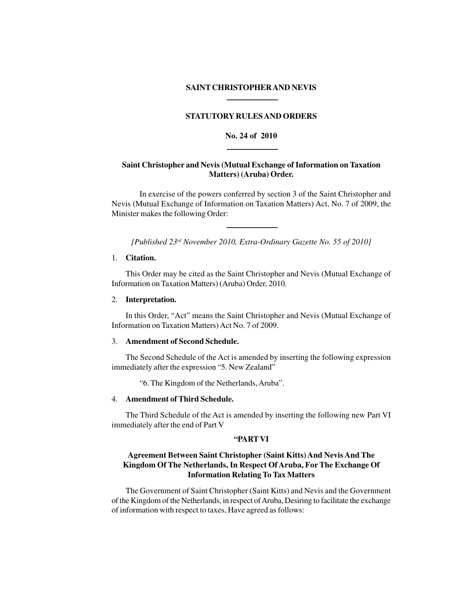## **SAINT CHRISTOPHER AND NEVIS**

### **STATUTORY RULES AND ORDERS**

### **No. 24 of 2010**

## **Saint Christopher and Nevis (Mutual Exchange of Information on Taxation Matters) (Aruba) Order.**

In exercise of the powers conferred by section 3 of the Saint Christopher and Nevis (Mutual Exchange of Information on Taxation Matters) Act, No. 7 of 2009, the Minister makes the following Order:

*[Published 23rd November 2010, Extra-Ordinary Gazette No. 55 of 2010]*

#### 1. **Citation.**

This Order may be cited as the Saint Christopher and Nevis (Mutual Exchange of Information on Taxation Matters) (Aruba) Order, 2010.

## 2. **Interpretation.**

In this Order, "Act" means the Saint Christopher and Nevis (Mutual Exchange of Information on Taxation Matters) Act No. 7 of 2009.

### 3. **Amendment of Second Schedule.**

The Second Schedule of the Act is amended by inserting the following expression immediately after the expression "5. New Zealand"

"6. The Kingdom of the Netherlands, Aruba".

#### 4. **Amendment of Third Schedule.**

The Third Schedule of the Act is amended by inserting the following new Part VI immediately after the end of Part V

# **"PARTVI**

## **Agreement Between Saint Christopher (Saint Kitts) And Nevis And The Kingdom Of The Netherlands, In Respect Of Aruba, For The Exchange Of Information Relating To Tax Matters**

The Government of Saint Christopher (Saint Kitts) and Nevis and the Government of the Kingdom of the Netherlands, in respect of Aruba, Desiring to facilitate the exchange of information with respect to taxes, Have agreed as follows: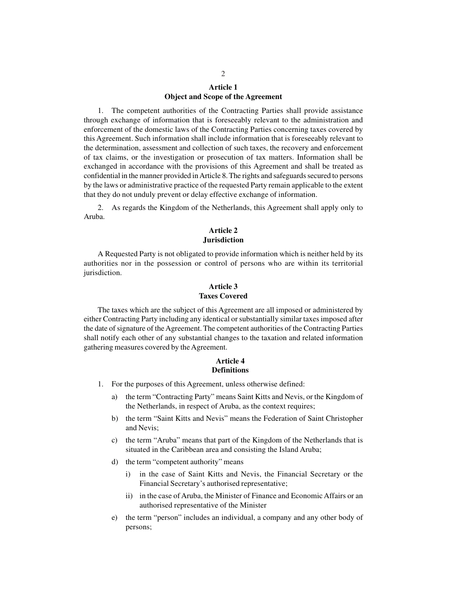### **Article 1 Object and Scope of the Agreement**

1. The competent authorities of the Contracting Parties shall provide assistance through exchange of information that is foreseeably relevant to the administration and enforcement of the domestic laws of the Contracting Parties concerning taxes covered by this Agreement. Such information shall include information that is foreseeably relevant to the determination, assessment and collection of such taxes, the recovery and enforcement of tax claims, or the investigation or prosecution of tax matters. Information shall be exchanged in accordance with the provisions of this Agreement and shall be treated as confidential in the manner provided in Article 8. The rights and safeguards secured to persons by the laws or administrative practice of the requested Party remain applicable to the extent that they do not unduly prevent or delay effective exchange of information.

2. As regards the Kingdom of the Netherlands, this Agreement shall apply only to Aruba.

## **Article 2 Jurisdiction**

A Requested Party is not obligated to provide information which is neither held by its authorities nor in the possession or control of persons who are within its territorial jurisdiction.

## **Article 3 Taxes Covered**

The taxes which are the subject of this Agreement are all imposed or administered by either Contracting Party including any identical or substantially similar taxes imposed after the date of signature of the Agreement. The competent authorities of the Contracting Parties shall notify each other of any substantial changes to the taxation and related information gathering measures covered by the Agreement.

#### **Article 4 Definitions**

- 1. For the purposes of this Agreement, unless otherwise defined:
	- a) the term "Contracting Party" means Saint Kitts and Nevis, or the Kingdom of the Netherlands, in respect of Aruba, as the context requires;
	- b) the term "Saint Kitts and Nevis" means the Federation of Saint Christopher and Nevis;
	- c) the term "Aruba" means that part of the Kingdom of the Netherlands that is situated in the Caribbean area and consisting the Island Aruba;
	- d) the term "competent authority" means
		- i) in the case of Saint Kitts and Nevis, the Financial Secretary or the Financial Secretary's authorised representative;
		- ii) in the case of Aruba, the Minister of Finance and Economic Affairs or an authorised representative of the Minister
	- e) the term "person" includes an individual, a company and any other body of persons;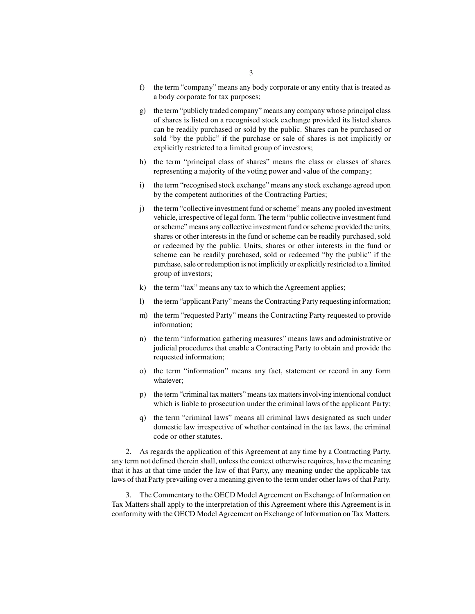- f) the term "company" means any body corporate or any entity that is treated as a body corporate for tax purposes;
- g) the term "publicly traded company" means any company whose principal class of shares is listed on a recognised stock exchange provided its listed shares can be readily purchased or sold by the public. Shares can be purchased or sold "by the public" if the purchase or sale of shares is not implicitly or explicitly restricted to a limited group of investors;
- h) the term "principal class of shares" means the class or classes of shares representing a majority of the voting power and value of the company;
- i) the term "recognised stock exchange" means any stock exchange agreed upon by the competent authorities of the Contracting Parties;
- j) the term "collective investment fund or scheme" means any pooled investment vehicle, irrespective of legal form. The term "public collective investment fund or scheme" means any collective investment fund or scheme provided the units, shares or other interests in the fund or scheme can be readily purchased, sold or redeemed by the public. Units, shares or other interests in the fund or scheme can be readily purchased, sold or redeemed "by the public" if the purchase, sale or redemption is not implicitly or explicitly restricted to a limited group of investors;
- k) the term "tax" means any tax to which the Agreement applies;
- l) the term "applicant Party" means the Contracting Party requesting information;
- m) the term "requested Party" means the Contracting Party requested to provide information;
- n) the term "information gathering measures" means laws and administrative or judicial procedures that enable a Contracting Party to obtain and provide the requested information;
- o) the term "information" means any fact, statement or record in any form whatever;
- p) the term "criminal tax matters" means tax matters involving intentional conduct which is liable to prosecution under the criminal laws of the applicant Party;
- q) the term "criminal laws" means all criminal laws designated as such under domestic law irrespective of whether contained in the tax laws, the criminal code or other statutes.

2. As regards the application of this Agreement at any time by a Contracting Party, any term not defined therein shall, unless the context otherwise requires, have the meaning that it has at that time under the law of that Party, any meaning under the applicable tax laws of that Party prevailing over a meaning given to the term under other laws of that Party.

3. The Commentary to the OECD Model Agreement on Exchange of Information on Tax Matters shall apply to the interpretation of this Agreement where this Agreement is in conformity with the OECD Model Agreement on Exchange of Information on Tax Matters.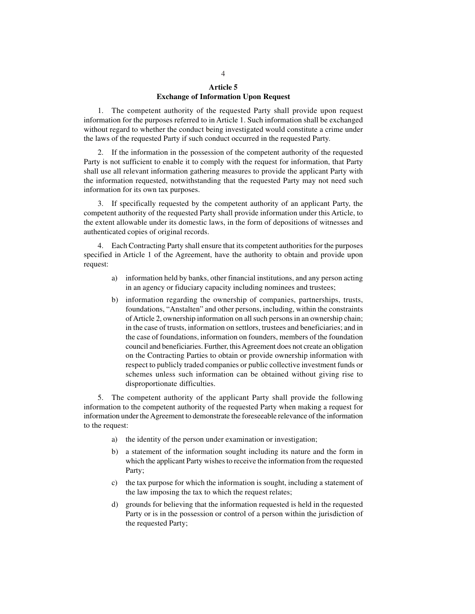## **Article 5 Exchange of Information Upon Request**

1. The competent authority of the requested Party shall provide upon request information for the purposes referred to in Article 1. Such information shall be exchanged without regard to whether the conduct being investigated would constitute a crime under the laws of the requested Party if such conduct occurred in the requested Party.

2. If the information in the possession of the competent authority of the requested Party is not sufficient to enable it to comply with the request for information, that Party shall use all relevant information gathering measures to provide the applicant Party with the information requested, notwithstanding that the requested Party may not need such information for its own tax purposes.

3. If specifically requested by the competent authority of an applicant Party, the competent authority of the requested Party shall provide information under this Article, to the extent allowable under its domestic laws, in the form of depositions of witnesses and authenticated copies of original records.

4. Each Contracting Party shall ensure that its competent authorities for the purposes specified in Article 1 of the Agreement, have the authority to obtain and provide upon request:

- a) information held by banks, other financial institutions, and any person acting in an agency or fiduciary capacity including nominees and trustees;
- b) information regarding the ownership of companies, partnerships, trusts, foundations, "Anstalten" and other persons, including, within the constraints of Article 2, ownership information on all such persons in an ownership chain; in the case of trusts, information on settlors, trustees and beneficiaries; and in the case of foundations, information on founders, members of the foundation council and beneficiaries. Further, this Agreement does not create an obligation on the Contracting Parties to obtain or provide ownership information with respect to publicly traded companies or public collective investment funds or schemes unless such information can be obtained without giving rise to disproportionate difficulties.

5. The competent authority of the applicant Party shall provide the following information to the competent authority of the requested Party when making a request for information under the Agreement to demonstrate the foreseeable relevance of the information to the request:

- the identity of the person under examination or investigation;
- b) a statement of the information sought including its nature and the form in which the applicant Party wishes to receive the information from the requested Party;
- c) the tax purpose for which the information is sought, including a statement of the law imposing the tax to which the request relates;
- d) grounds for believing that the information requested is held in the requested Party or is in the possession or control of a person within the jurisdiction of the requested Party;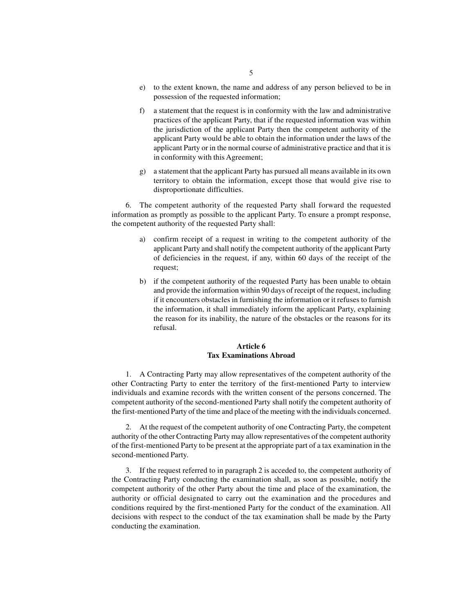- e) to the extent known, the name and address of any person believed to be in possession of the requested information;
- f) a statement that the request is in conformity with the law and administrative practices of the applicant Party, that if the requested information was within the jurisdiction of the applicant Party then the competent authority of the applicant Party would be able to obtain the information under the laws of the applicant Party or in the normal course of administrative practice and that it is in conformity with this Agreement;
- g) a statement that the applicant Party has pursued all means available in its own territory to obtain the information, except those that would give rise to disproportionate difficulties.

6. The competent authority of the requested Party shall forward the requested information as promptly as possible to the applicant Party. To ensure a prompt response, the competent authority of the requested Party shall:

- confirm receipt of a request in writing to the competent authority of the applicant Party and shall notify the competent authority of the applicant Party of deficiencies in the request, if any, within 60 days of the receipt of the request;
- b) if the competent authority of the requested Party has been unable to obtain and provide the information within 90 days of receipt of the request, including if it encounters obstacles in furnishing the information or it refuses to furnish the information, it shall immediately inform the applicant Party, explaining the reason for its inability, the nature of the obstacles or the reasons for its refusal.

## **Article 6 Tax Examinations Abroad**

1. A Contracting Party may allow representatives of the competent authority of the other Contracting Party to enter the territory of the first-mentioned Party to interview individuals and examine records with the written consent of the persons concerned. The competent authority of the second-mentioned Party shall notify the competent authority of the first-mentioned Party of the time and place of the meeting with the individuals concerned.

2. At the request of the competent authority of one Contracting Party, the competent authority of the other Contracting Party may allow representatives of the competent authority of the first-mentioned Party to be present at the appropriate part of a tax examination in the second-mentioned Party.

3. If the request referred to in paragraph 2 is acceded to, the competent authority of the Contracting Party conducting the examination shall, as soon as possible, notify the competent authority of the other Party about the time and place of the examination, the authority or official designated to carry out the examination and the procedures and conditions required by the first-mentioned Party for the conduct of the examination. All decisions with respect to the conduct of the tax examination shall be made by the Party conducting the examination.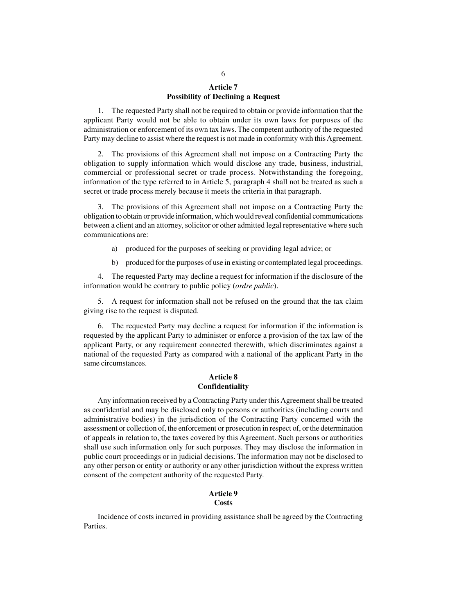## **Article 7 Possibility of Declining a Request**

1. The requested Party shall not be required to obtain or provide information that the applicant Party would not be able to obtain under its own laws for purposes of the administration or enforcement of its own tax laws. The competent authority of the requested Party may decline to assist where the request is not made in conformity with this Agreement.

2. The provisions of this Agreement shall not impose on a Contracting Party the obligation to supply information which would disclose any trade, business, industrial, commercial or professional secret or trade process. Notwithstanding the foregoing, information of the type referred to in Article 5, paragraph 4 shall not be treated as such a secret or trade process merely because it meets the criteria in that paragraph.

3. The provisions of this Agreement shall not impose on a Contracting Party the obligation to obtain or provide information, which would reveal confidential communications between a client and an attorney, solicitor or other admitted legal representative where such communications are:

- a) produced for the purposes of seeking or providing legal advice; or
- b) produced for the purposes of use in existing or contemplated legal proceedings.

4. The requested Party may decline a request for information if the disclosure of the information would be contrary to public policy (*ordre public*).

5. A request for information shall not be refused on the ground that the tax claim giving rise to the request is disputed.

6. The requested Party may decline a request for information if the information is requested by the applicant Party to administer or enforce a provision of the tax law of the applicant Party, or any requirement connected therewith, which discriminates against a national of the requested Party as compared with a national of the applicant Party in the same circumstances.

## **Article 8 Confidentiality**

Any information received by a Contracting Party under this Agreement shall be treated as confidential and may be disclosed only to persons or authorities (including courts and administrative bodies) in the jurisdiction of the Contracting Party concerned with the assessment or collection of, the enforcement or prosecution in respect of, or the determination of appeals in relation to, the taxes covered by this Agreement. Such persons or authorities shall use such information only for such purposes. They may disclose the information in public court proceedings or in judicial decisions. The information may not be disclosed to any other person or entity or authority or any other jurisdiction without the express written consent of the competent authority of the requested Party.

#### **Article 9 Costs**

Incidence of costs incurred in providing assistance shall be agreed by the Contracting Parties.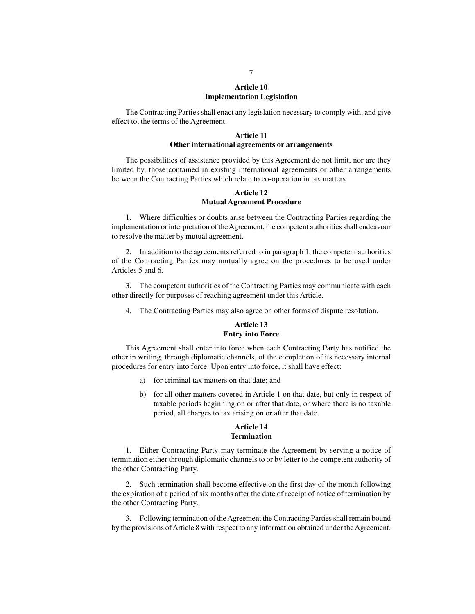## **Article 10 Implementation Legislation**

The Contracting Parties shall enact any legislation necessary to comply with, and give effect to, the terms of the Agreement.

### **Article 11 Other international agreements or arrangements**

The possibilities of assistance provided by this Agreement do not limit, nor are they limited by, those contained in existing international agreements or other arrangements between the Contracting Parties which relate to co-operation in tax matters.

## **Article 12 Mutual Agreement Procedure**

1. Where difficulties or doubts arise between the Contracting Parties regarding the implementation or interpretation of the Agreement, the competent authorities shall endeavour to resolve the matter by mutual agreement.

2. In addition to the agreements referred to in paragraph 1, the competent authorities of the Contracting Parties may mutually agree on the procedures to be used under Articles 5 and 6.

3. The competent authorities of the Contracting Parties may communicate with each other directly for purposes of reaching agreement under this Article.

4. The Contracting Parties may also agree on other forms of dispute resolution.

## **Article 13 Entry into Force**

This Agreement shall enter into force when each Contracting Party has notified the other in writing, through diplomatic channels, of the completion of its necessary internal procedures for entry into force. Upon entry into force, it shall have effect:

- a) for criminal tax matters on that date; and
- b) for all other matters covered in Article 1 on that date, but only in respect of taxable periods beginning on or after that date, or where there is no taxable period, all charges to tax arising on or after that date.

#### **Article 14 Termination**

1. Either Contracting Party may terminate the Agreement by serving a notice of termination either through diplomatic channels to or by letter to the competent authority of the other Contracting Party.

2. Such termination shall become effective on the first day of the month following the expiration of a period of six months after the date of receipt of notice of termination by the other Contracting Party.

3. Following termination of the Agreement the Contracting Parties shall remain bound by the provisions of Article 8 with respect to any information obtained under the Agreement.